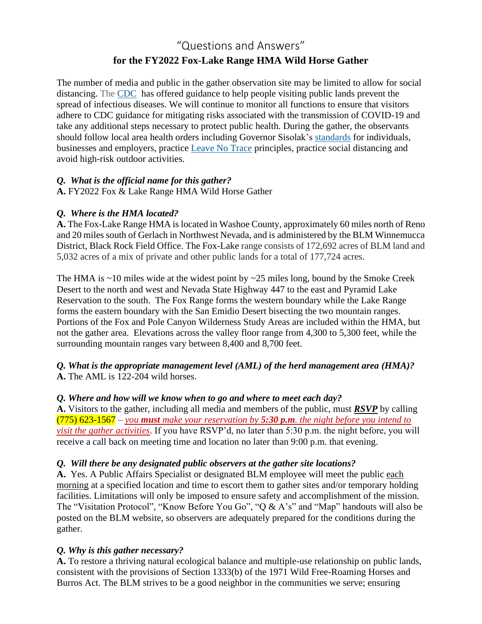# "Questions and Answers" **for the FY2022 Fox-Lake Range HMA Wild Horse Gather**

The number of media and public in the gather observation site may be limited to allow for social distancing. The [CDC](https://www.cdc.gov/coronavirus/2019-ncov/community/parks-rec/index.html) has offered guidance to help people visiting public lands prevent the spread of infectious diseases. We will continue to monitor all functions to ensure that visitors adhere to CDC guidance for mitigating risks associated with the transmission of COVID-19 and take any additional steps necessary to protect public health. During the gather, the observants should follow local area health orders including Governor Sisolak's [standards](https://nvhealthresponse.nv.gov/wp-content/uploads/2020/05/Phase-2-General-Guidance.pdf) for individuals, businesses and employers, practice [Leave No Trace](https://lnt.org/) principles, practice social distancing and avoid high-risk outdoor activities.

#### *Q. What is the official name for this gather?*

**A.** FY2022 Fox & Lake Range HMA Wild Horse Gather

# *Q. Where is the HMA located?*

**A.** The Fox-Lake Range HMA is located in Washoe County, approximately 60 miles north of Reno and 20 miles south of Gerlach in Northwest Nevada, and is administered by the BLM Winnemucca District, Black Rock Field Office. The Fox-Lake range consists of 172,692 acres of BLM land and 5,032 acres of a mix of private and other public lands for a total of 177,724 acres.

The HMA is  $\sim$ 10 miles wide at the widest point by  $\sim$ 25 miles long, bound by the Smoke Creek Desert to the north and west and Nevada State Highway 447 to the east and Pyramid Lake Reservation to the south. The Fox Range forms the western boundary while the Lake Range forms the eastern boundary with the San Emidio Desert bisecting the two mountain ranges. Portions of the Fox and Pole Canyon Wilderness Study Areas are included within the HMA, but not the gather area. Elevations across the valley floor range from 4,300 to 5,300 feet, while the surrounding mountain ranges vary between 8,400 and 8,700 feet.

## *Q. What is the appropriate management level (AML) of the herd management area (HMA)?* **A.** The AML is 122-204 wild horses.

#### *Q. Where and how will we know when to go and where to meet each day?*

**A.** Visitors to the gather, including all media and members of the public, must *RSVP* by calling (775) 623-1567 – *you must make your reservation by 5:30 p.m. the night before you intend to visit the gather activities*. If you have RSVP'd, no later than 5:30 p.m. the night before, you will receive a call back on meeting time and location no later than 9:00 p.m. that evening.

# *Q. Will there be any designated public observers at the gather site locations?*

**A.** Yes. A Public Affairs Specialist or designated BLM employee will meet the public each morning at a specified location and time to escort them to gather sites and/or temporary holding facilities. Limitations will only be imposed to ensure safety and accomplishment of the mission. The "Visitation Protocol", "Know Before You Go", "Q & A's" and "Map" handouts will also be posted on the BLM website, so observers are adequately prepared for the conditions during the gather.

# *Q. Why is this gather necessary?*

**A.** To restore a thriving natural ecological balance and multiple-use relationship on public lands, consistent with the provisions of Section 1333(b) of the 1971 Wild Free-Roaming Horses and Burros Act. The BLM strives to be a good neighbor in the communities we serve; ensuring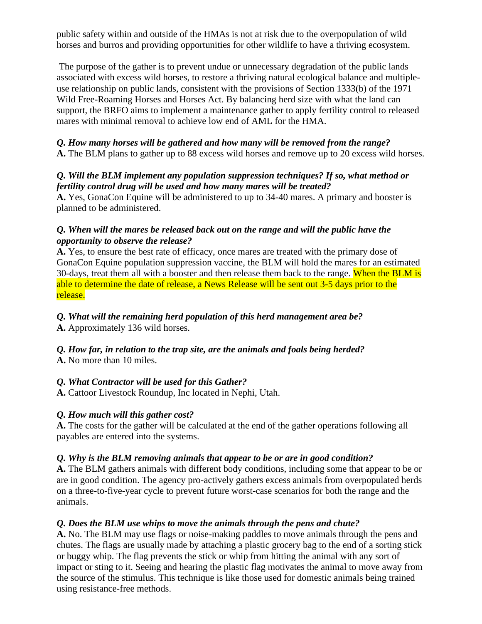public safety within and outside of the HMAs is not at risk due to the overpopulation of wild horses and burros and providing opportunities for other wildlife to have a thriving ecosystem.

The purpose of the gather is to prevent undue or unnecessary degradation of the public lands associated with excess wild horses, to restore a thriving natural ecological balance and multipleuse relationship on public lands, consistent with the provisions of Section 1333(b) of the 1971 Wild Free-Roaming Horses and Horses Act. By balancing herd size with what the land can support, the BRFO aims to implement a maintenance gather to apply fertility control to released mares with minimal removal to achieve low end of AML for the HMA.

# *Q. How many horses will be gathered and how many will be removed from the range?*

**A.** The BLM plans to gather up to 88 excess wild horses and remove up to 20 excess wild horses.

#### *Q. Will the BLM implement any population suppression techniques? If so, what method or fertility control drug will be used and how many mares will be treated?*

**A.** Yes, GonaCon Equine will be administered to up to 34-40 mares. A primary and booster is planned to be administered.

#### *Q. When will the mares be released back out on the range and will the public have the opportunity to observe the release?*

**A.** Yes, to ensure the best rate of efficacy, once mares are treated with the primary dose of GonaCon Equine population suppression vaccine, the BLM will hold the mares for an estimated 30-days, treat them all with a booster and then release them back to the range. When the BLM is able to determine the date of release, a News Release will be sent out 3-5 days prior to the release.

## *Q. What will the remaining herd population of this herd management area be?*

**A.** Approximately 136 wild horses.

# *Q. How far, in relation to the trap site, are the animals and foals being herded?*

**A.** No more than 10 miles.

# *Q. What Contractor will be used for this Gather?*

**A.** Cattoor Livestock Roundup, Inc located in Nephi, Utah.

#### *Q. How much will this gather cost?*

**A.** The costs for the gather will be calculated at the end of the gather operations following all payables are entered into the systems.

#### *Q. Why is the BLM removing animals that appear to be or are in good condition?*

**A.** The BLM gathers animals with different body conditions, including some that appear to be or are in good condition. The agency pro-actively gathers excess animals from overpopulated herds on a three-to-five-year cycle to prevent future worst-case scenarios for both the range and the animals.

# *Q. Does the BLM use whips to move the animals through the pens and chute?*

**A.** No. The BLM may use flags or noise-making paddles to move animals through the pens and chutes. The flags are usually made by attaching a plastic grocery bag to the end of a sorting stick or buggy whip. The flag prevents the stick or whip from hitting the animal with any sort of impact or sting to it. Seeing and hearing the plastic flag motivates the animal to move away from the source of the stimulus. This technique is like those used for domestic animals being trained using resistance-free methods.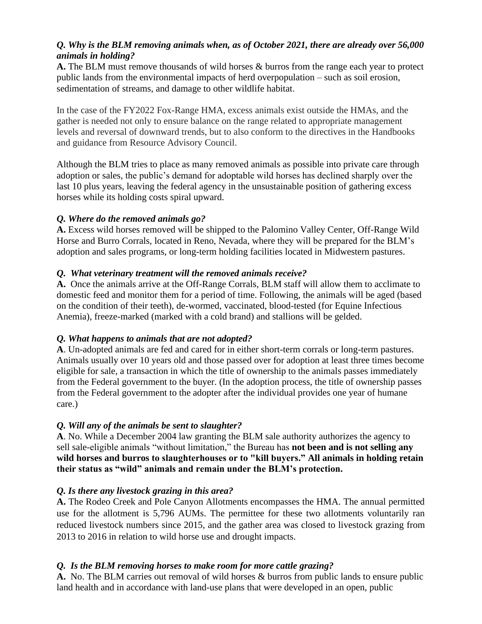# *Q. Why is the BLM removing animals when, as of October 2021, there are already over 56,000 animals in holding?*

**A.** The BLM must remove thousands of wild horses & burros from the range each year to protect public lands from the environmental impacts of herd overpopulation – such as soil erosion, sedimentation of streams, and damage to other wildlife habitat.

In the case of the FY2022 Fox-Range HMA, excess animals exist outside the HMAs, and the gather is needed not only to ensure balance on the range related to appropriate management levels and reversal of downward trends, but to also conform to the directives in the Handbooks and guidance from Resource Advisory Council.

Although the BLM tries to place as many removed animals as possible into private care through adoption or sales, the public's demand for adoptable wild horses has declined sharply over the last 10 plus years, leaving the federal agency in the unsustainable position of gathering excess horses while its holding costs spiral upward.

## *Q. Where do the removed animals go?*

**A.** Excess wild horses removed will be shipped to the Palomino Valley Center, Off-Range Wild Horse and Burro Corrals, located in Reno, Nevada, where they will be prepared for the BLM's adoption and sales programs, or long-term holding facilities located in Midwestern pastures.

## *Q. What veterinary treatment will the removed animals receive?*

**A.** Once the animals arrive at the Off-Range Corrals, BLM staff will allow them to acclimate to domestic feed and monitor them for a period of time. Following, the animals will be aged (based on the condition of their teeth), de-wormed, vaccinated, blood-tested (for Equine Infectious Anemia), freeze-marked (marked with a cold brand) and stallions will be gelded.

#### *Q. What happens to animals that are not adopted?*

**A**. Un-adopted animals are fed and cared for in either short-term corrals or long-term pastures. Animals usually over 10 years old and those passed over for adoption at least three times become eligible for sale, a transaction in which the title of ownership to the animals passes immediately from the Federal government to the buyer. (In the adoption process, the title of ownership passes from the Federal government to the adopter after the individual provides one year of humane care.)

# *Q. Will any of the animals be sent to slaughter?*

**A**. No. While a December 2004 law granting the BLM sale authority authorizes the agency to sell sale-eligible animals "without limitation," the Bureau has **not been and is not selling any wild horses and burros to slaughterhouses or to "kill buyers." All animals in holding retain their status as "wild" animals and remain under the BLM's protection.** 

# *Q. Is there any livestock grazing in this area?*

**A.** The Rodeo Creek and Pole Canyon Allotments encompasses the HMA. The annual permitted use for the allotment is 5,796 AUMs. The permittee for these two allotments voluntarily ran reduced livestock numbers since 2015, and the gather area was closed to livestock grazing from 2013 to 2016 in relation to wild horse use and drought impacts.

# *Q. Is the BLM removing horses to make room for more cattle grazing?*

**A.** No. The BLM carries out removal of wild horses & burros from public lands to ensure public land health and in accordance with land-use plans that were developed in an open, public